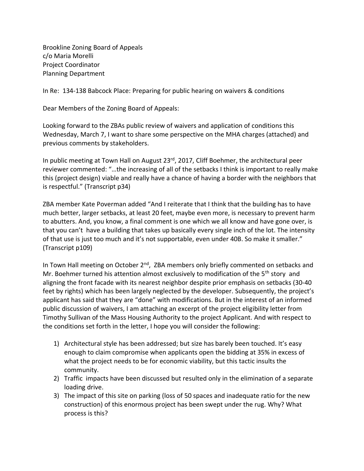Brookline Zoning Board of Appeals c/o Maria Morelli Project Coordinator Planning Department

In Re: 134-138 Babcock Place: Preparing for public hearing on waivers & conditions

Dear Members of the Zoning Board of Appeals:

Looking forward to the ZBAs public review of waivers and application of conditions this Wednesday, March 7, I want to share some perspective on the MHA charges (attached) and previous comments by stakeholders.

In public meeting at Town Hall on August 23<sup>rd</sup>, 2017, Cliff Boehmer, the architectural peer reviewer commented: "…the increasing of all of the setbacks I think is important to really make this (project design) viable and really have a chance of having a border with the neighbors that is respectful." (Transcript p34)

ZBA member Kate Poverman added "And I reiterate that I think that the building has to have much better, larger setbacks, at least 20 feet, maybe even more, is necessary to prevent harm to abutters. And, you know, a final comment is one which we all know and have gone over, is that you can't have a building that takes up basically every single inch of the lot. The intensity of that use is just too much and it's not supportable, even under 40B. So make it smaller." (Transcript p109)

In Town Hall meeting on October 2<sup>nd</sup>, ZBA members only briefly commented on setbacks and Mr. Boehmer turned his attention almost exclusively to modification of the 5<sup>th</sup> story and aligning the front facade with its nearest neighbor despite prior emphasis on setbacks (30-40 feet by rights) which has been largely neglected by the developer. Subsequently, the project's applicant has said that they are "done" with modifications. But in the interest of an informed public discussion of waivers, I am attaching an excerpt of the project eligibility letter from Timothy Sullivan of the Mass Housing Authority to the project Applicant. And with respect to the conditions set forth in the letter, I hope you will consider the following:

- 1) Architectural style has been addressed; but size has barely been touched. It's easy enough to claim compromise when applicants open the bidding at 35% in excess of what the project needs to be for economic viability, but this tactic insults the community.
- 2) Traffic impacts have been discussed but resulted only in the elimination of a separate loading drive.
- 3) The impact of this site on parking (loss of 50 spaces and inadequate ratio for the new construction) of this enormous project has been swept under the rug. Why? What process is this?